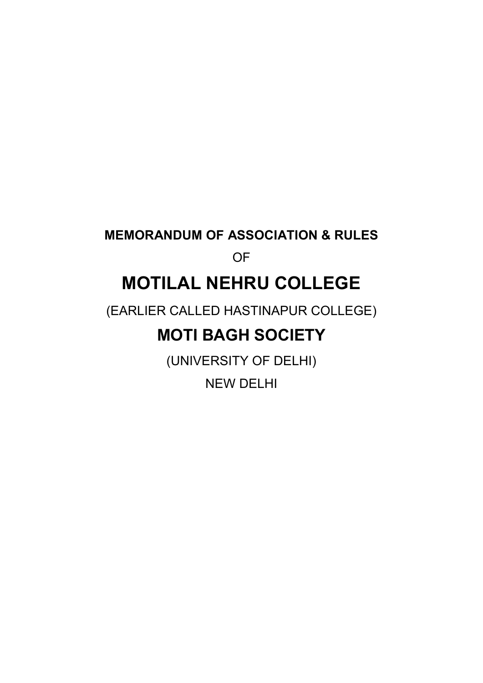#### **MEMORANDUM OF ASSOCIATION & RULES**

### OF

## **MOTILAL NEHRU COLLEGE**

(EARLIER CALLED HASTINAPUR COLLEGE)

## **MOTI BAGH SOCIETY**

(UNIVERSITY OF DELHI)

NEW DELHI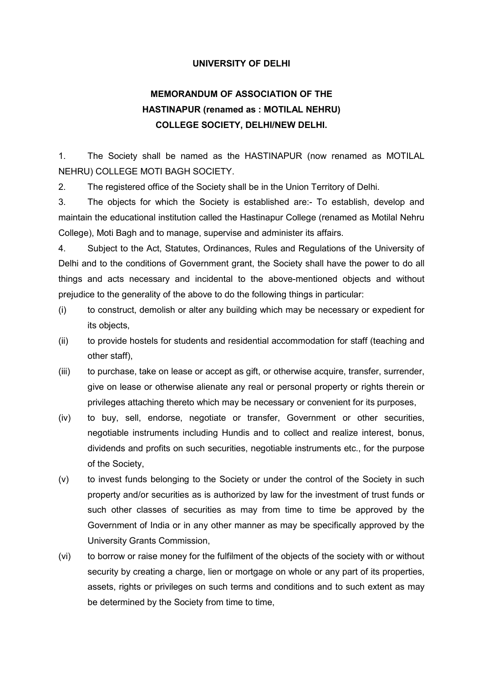#### **UNIVERSITY OF DELHI**

#### **MEMORANDUM OF ASSOCIATION OF THE HASTINAPUR (renamed as : MOTILAL NEHRU) COLLEGE SOCIETY, DELHI/NEW DELHI.**

1. The Society shall be named as the HASTINAPUR (now renamed as MOTILAL NEHRU) COLLEGE MOTI BAGH SOCIETY.

2. The registered office of the Society shall be in the Union Territory of Delhi.

3. The objects for which the Society is established are:- To establish, develop and maintain the educational institution called the Hastinapur College (renamed as Motilal Nehru College), Moti Bagh and to manage, supervise and administer its affairs.

4. Subject to the Act, Statutes, Ordinances, Rules and Regulations of the University of Delhi and to the conditions of Government grant, the Society shall have the power to do all things and acts necessary and incidental to the above-mentioned objects and without prejudice to the generality of the above to do the following things in particular:

- (i) to construct, demolish or alter any building which may be necessary or expedient for its objects,
- (ii) to provide hostels for students and residential accommodation for staff (teaching and other staff),
- (iii) to purchase, take on lease or accept as gift, or otherwise acquire, transfer, surrender, give on lease or otherwise alienate any real or personal property or rights therein or privileges attaching thereto which may be necessary or convenient for its purposes,
- (iv) to buy, sell, endorse, negotiate or transfer, Government or other securities, negotiable instruments including Hundis and to collect and realize interest, bonus, dividends and profits on such securities, negotiable instruments etc., for the purpose of the Society,
- (v) to invest funds belonging to the Society or under the control of the Society in such property and/or securities as is authorized by law for the investment of trust funds or such other classes of securities as may from time to time be approved by the Government of India or in any other manner as may be specifically approved by the University Grants Commission,
- (vi) to borrow or raise money for the fulfilment of the objects of the society with or without security by creating a charge, lien or mortgage on whole or any part of its properties, assets, rights or privileges on such terms and conditions and to such extent as may be determined by the Society from time to time,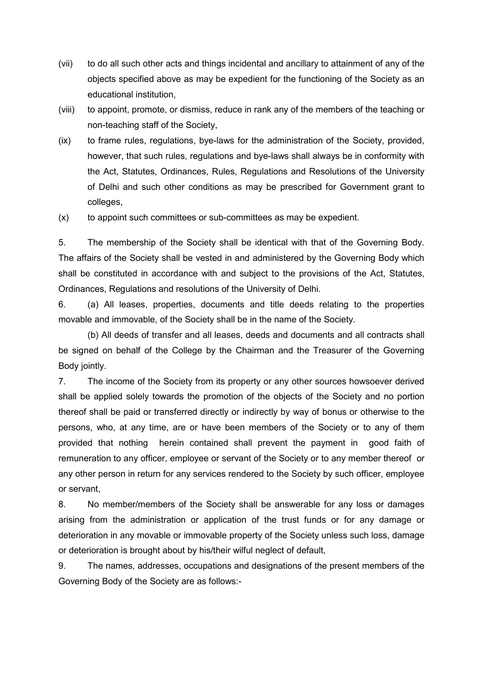- (vii) to do all such other acts and things incidental and ancillary to attainment of any of the objects specified above as may be expedient for the functioning of the Society as an educational institution,
- (viii) to appoint, promote, or dismiss, reduce in rank any of the members of the teaching or non-teaching staff of the Society,
- (ix) to frame rules, regulations, bye-laws for the administration of the Society, provided, however, that such rules, regulations and bye-laws shall always be in conformity with the Act, Statutes, Ordinances, Rules, Regulations and Resolutions of the University of Delhi and such other conditions as may be prescribed for Government grant to colleges,
- (x) to appoint such committees or sub-committees as may be expedient.

5. The membership of the Society shall be identical with that of the Governing Body. The affairs of the Society shall be vested in and administered by the Governing Body which shall be constituted in accordance with and subject to the provisions of the Act, Statutes, Ordinances, Regulations and resolutions of the University of Delhi.

6. (a) All leases, properties, documents and title deeds relating to the properties movable and immovable, of the Society shall be in the name of the Society.

 (b) All deeds of transfer and all leases, deeds and documents and all contracts shall be signed on behalf of the College by the Chairman and the Treasurer of the Governing Body jointly.

7. The income of the Society from its property or any other sources howsoever derived shall be applied solely towards the promotion of the objects of the Society and no portion thereof shall be paid or transferred directly or indirectly by way of bonus or otherwise to the persons, who, at any time, are or have been members of the Society or to any of them provided that nothing herein contained shall prevent the payment in good faith of remuneration to any officer, employee or servant of the Society or to any member thereof or any other person in return for any services rendered to the Society by such officer, employee or servant,

8. No member/members of the Society shall be answerable for any loss or damages arising from the administration or application of the trust funds or for any damage or deterioration in any movable or immovable property of the Society unless such loss, damage or deterioration is brought about by his/their wilful neglect of default,

9. The names, addresses, occupations and designations of the present members of the Governing Body of the Society are as follows:-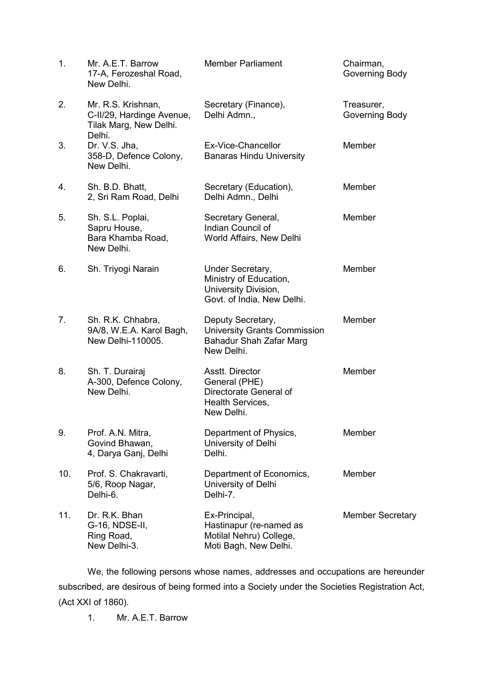| 1.  | Mr. A.E.T. Barrow<br>17-A, Ferozeshal Road,<br>New Delhi.                           | <b>Member Parliament</b>                                                                                 | Chairman,<br>Governing Body  |
|-----|-------------------------------------------------------------------------------------|----------------------------------------------------------------------------------------------------------|------------------------------|
| 2.  | Mr. R.S. Krishnan,<br>C-II/29, Hardinge Avenue,<br>Tilak Marg, New Delhi.<br>Delhi. | Secretary (Finance),<br>Delhi Admn.,                                                                     | Treasurer,<br>Governing Body |
| 3.  | Dr. V.S. Jha,<br>358-D, Defence Colony,<br>New Delhi.                               | Ex-Vice-Chancellor<br><b>Banaras Hindu University</b>                                                    | Member                       |
| 4.  | Sh. B.D. Bhatt,<br>2, Sri Ram Road, Delhi                                           | Secretary (Education),<br>Delhi Admn., Delhi                                                             | Member                       |
| 5.  | Sh. S.L. Poplai,<br>Sapru House,<br>Bara Khamba Road,<br>New Delhi.                 | Secretary General,<br>Indian Council of<br>World Affairs, New Delhi                                      | Member                       |
| 6.  | Sh. Triyogi Narain                                                                  | Under Secretary,<br>Ministry of Education,<br>University Division,<br>Govt. of India, New Delhi.         | Member                       |
| 7.  | Sh. R.K. Chhabra,<br>9A/8, W.E.A. Karol Bagh,<br>New Delhi-110005.                  | Deputy Secretary,<br><b>University Grants Commission</b><br><b>Bahadur Shah Zafar Marg</b><br>New Delhi. | Member                       |
| 8.  | Sh. T. Durairaj<br>A-300, Defence Colony,<br>New Delhi.                             | Asstt. Director<br>General (PHE)<br>Directorate General of<br>Health Services,<br>New Delhi.             | Member                       |
| 9.  | Prof. A.N. Mitra,<br>Govind Bhawan,<br>4, Darya Ganj, Delhi                         | Department of Physics,<br>University of Delhi<br>Delhi.                                                  | Member                       |
| 10. | Prof. S. Chakravarti,<br>5/6, Roop Nagar,<br>Delhi-6.                               | Department of Economics,<br>University of Delhi<br>Delhi-7.                                              | Member                       |
| 11. | Dr. R.K. Bhan<br>G-16, NDSE-II,<br>Ring Road,<br>New Delhi-3.                       | Ex-Principal,<br>Hastinapur (re-named as<br>Motilal Nehru) College,<br>Moti Bagh, New Delhi.             | <b>Member Secretary</b>      |

 We, the following persons whose names, addresses and occupations are hereunder subscribed, are desirous of being formed into a Society under the Societies Registration Act, (Act XXI of 1860).

1. Mr. A.E.T. Barrow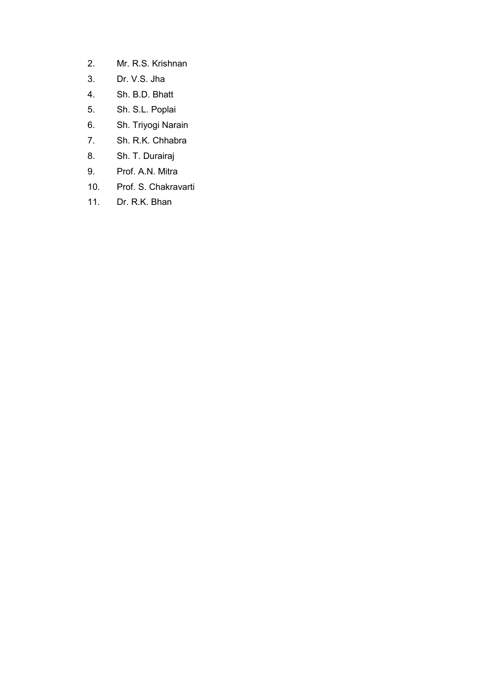- 2. Mr. R.S. Krishnan
- 3. Dr. V.S. Jha
- 4. Sh. B.D. Bhatt
- 5. Sh. S.L. Poplai
- 6. Sh. Triyogi Narain
- 7. Sh. R.K. Chhabra
- 8. Sh. T. Durairaj
- 9. Prof. A.N. Mitra
- 10. Prof. S. Chakravarti
- 11. Dr. R.K. Bhan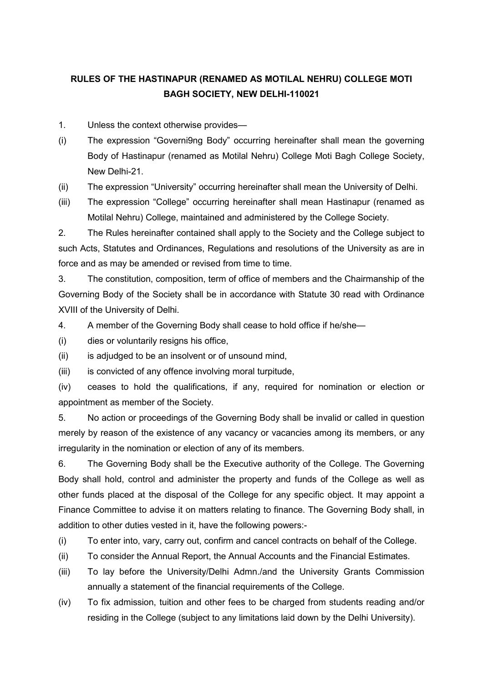#### **RULES OF THE HASTINAPUR (RENAMED AS MOTILAL NEHRU) COLLEGE MOTI BAGH SOCIETY, NEW DELHI-110021**

1. Unless the context otherwise provides—

- (i) The expression "Governi9ng Body" occurring hereinafter shall mean the governing Body of Hastinapur (renamed as Motilal Nehru) College Moti Bagh College Society, New Delhi-21.
- (ii) The expression "University" occurring hereinafter shall mean the University of Delhi.
- (iii) The expression "College" occurring hereinafter shall mean Hastinapur (renamed as Motilal Nehru) College, maintained and administered by the College Society.

2. The Rules hereinafter contained shall apply to the Society and the College subject to such Acts, Statutes and Ordinances, Regulations and resolutions of the University as are in force and as may be amended or revised from time to time.

3. The constitution, composition, term of office of members and the Chairmanship of the Governing Body of the Society shall be in accordance with Statute 30 read with Ordinance XVIII of the University of Delhi.

4. A member of the Governing Body shall cease to hold office if he/she—

(i) dies or voluntarily resigns his office,

(ii) is adjudged to be an insolvent or of unsound mind,

(iii) is convicted of any offence involving moral turpitude,

(iv) ceases to hold the qualifications, if any, required for nomination or election or appointment as member of the Society.

5. No action or proceedings of the Governing Body shall be invalid or called in question merely by reason of the existence of any vacancy or vacancies among its members, or any irregularity in the nomination or election of any of its members.

6. The Governing Body shall be the Executive authority of the College. The Governing Body shall hold, control and administer the property and funds of the College as well as other funds placed at the disposal of the College for any specific object. It may appoint a Finance Committee to advise it on matters relating to finance. The Governing Body shall, in addition to other duties vested in it, have the following powers:-

(i) To enter into, vary, carry out, confirm and cancel contracts on behalf of the College.

- (ii) To consider the Annual Report, the Annual Accounts and the Financial Estimates.
- (iii) To lay before the University/Delhi Admn./and the University Grants Commission annually a statement of the financial requirements of the College.
- (iv) To fix admission, tuition and other fees to be charged from students reading and/or residing in the College (subject to any limitations laid down by the Delhi University).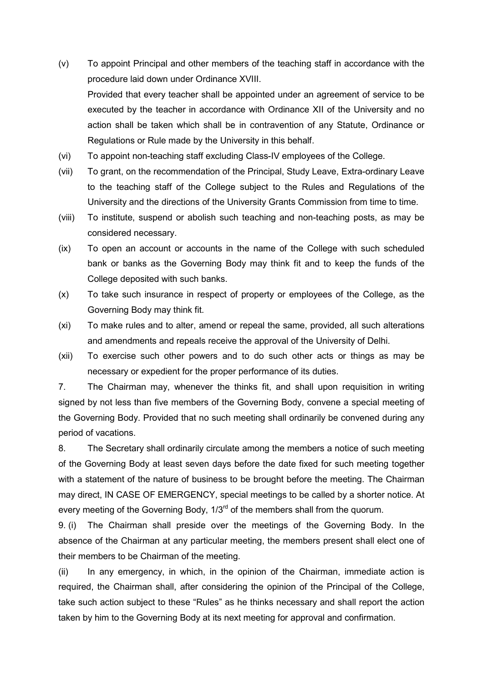- (v) To appoint Principal and other members of the teaching staff in accordance with the procedure laid down under Ordinance XVIII. Provided that every teacher shall be appointed under an agreement of service to be executed by the teacher in accordance with Ordinance XII of the University and no action shall be taken which shall be in contravention of any Statute, Ordinance or Regulations or Rule made by the University in this behalf.
- (vi) To appoint non-teaching staff excluding Class-IV employees of the College.
- (vii) To grant, on the recommendation of the Principal, Study Leave, Extra-ordinary Leave to the teaching staff of the College subject to the Rules and Regulations of the University and the directions of the University Grants Commission from time to time.
- (viii) To institute, suspend or abolish such teaching and non-teaching posts, as may be considered necessary.
- (ix) To open an account or accounts in the name of the College with such scheduled bank or banks as the Governing Body may think fit and to keep the funds of the College deposited with such banks.
- (x) To take such insurance in respect of property or employees of the College, as the Governing Body may think fit.
- (xi) To make rules and to alter, amend or repeal the same, provided, all such alterations and amendments and repeals receive the approval of the University of Delhi.
- (xii) To exercise such other powers and to do such other acts or things as may be necessary or expedient for the proper performance of its duties.

7. The Chairman may, whenever the thinks fit, and shall upon requisition in writing signed by not less than five members of the Governing Body, convene a special meeting of the Governing Body. Provided that no such meeting shall ordinarily be convened during any period of vacations.

8. The Secretary shall ordinarily circulate among the members a notice of such meeting of the Governing Body at least seven days before the date fixed for such meeting together with a statement of the nature of business to be brought before the meeting. The Chairman may direct, IN CASE OF EMERGENCY, special meetings to be called by a shorter notice. At every meeting of the Governing Body,  $1/3^{rd}$  of the members shall from the quorum.

9. (i) The Chairman shall preside over the meetings of the Governing Body. In the absence of the Chairman at any particular meeting, the members present shall elect one of their members to be Chairman of the meeting.

(ii) In any emergency, in which, in the opinion of the Chairman, immediate action is required, the Chairman shall, after considering the opinion of the Principal of the College, take such action subject to these "Rules" as he thinks necessary and shall report the action taken by him to the Governing Body at its next meeting for approval and confirmation.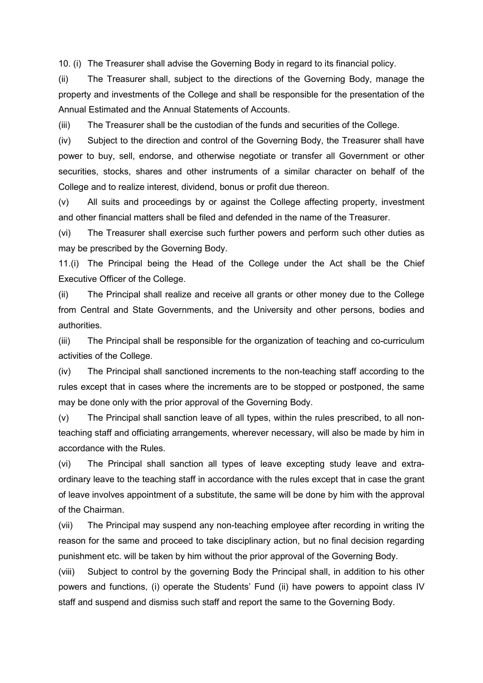10. (i) The Treasurer shall advise the Governing Body in regard to its financial policy.

(ii) The Treasurer shall, subject to the directions of the Governing Body, manage the property and investments of the College and shall be responsible for the presentation of the Annual Estimated and the Annual Statements of Accounts.

(iii) The Treasurer shall be the custodian of the funds and securities of the College.

(iv) Subject to the direction and control of the Governing Body, the Treasurer shall have power to buy, sell, endorse, and otherwise negotiate or transfer all Government or other securities, stocks, shares and other instruments of a similar character on behalf of the College and to realize interest, dividend, bonus or profit due thereon.

(v) All suits and proceedings by or against the College affecting property, investment and other financial matters shall be filed and defended in the name of the Treasurer.

(vi) The Treasurer shall exercise such further powers and perform such other duties as may be prescribed by the Governing Body.

11.(i) The Principal being the Head of the College under the Act shall be the Chief Executive Officer of the College.

(ii) The Principal shall realize and receive all grants or other money due to the College from Central and State Governments, and the University and other persons, bodies and authorities.

(iii) The Principal shall be responsible for the organization of teaching and co-curriculum activities of the College.

(iv) The Principal shall sanctioned increments to the non-teaching staff according to the rules except that in cases where the increments are to be stopped or postponed, the same may be done only with the prior approval of the Governing Body.

(v) The Principal shall sanction leave of all types, within the rules prescribed, to all nonteaching staff and officiating arrangements, wherever necessary, will also be made by him in accordance with the Rules.

(vi) The Principal shall sanction all types of leave excepting study leave and extraordinary leave to the teaching staff in accordance with the rules except that in case the grant of leave involves appointment of a substitute, the same will be done by him with the approval of the Chairman.

(vii) The Principal may suspend any non-teaching employee after recording in writing the reason for the same and proceed to take disciplinary action, but no final decision regarding punishment etc. will be taken by him without the prior approval of the Governing Body.

(viii) Subject to control by the governing Body the Principal shall, in addition to his other powers and functions, (i) operate the Students' Fund (ii) have powers to appoint class IV staff and suspend and dismiss such staff and report the same to the Governing Body.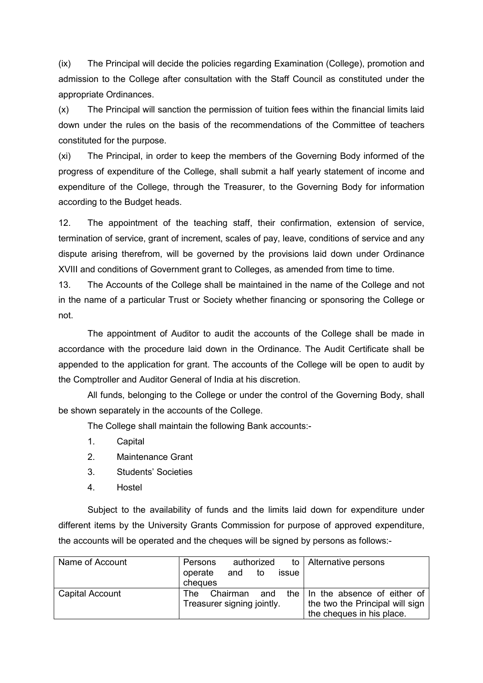(ix) The Principal will decide the policies regarding Examination (College), promotion and admission to the College after consultation with the Staff Council as constituted under the appropriate Ordinances.

(x) The Principal will sanction the permission of tuition fees within the financial limits laid down under the rules on the basis of the recommendations of the Committee of teachers constituted for the purpose.

(xi) The Principal, in order to keep the members of the Governing Body informed of the progress of expenditure of the College, shall submit a half yearly statement of income and expenditure of the College, through the Treasurer, to the Governing Body for information according to the Budget heads.

12. The appointment of the teaching staff, their confirmation, extension of service, termination of service, grant of increment, scales of pay, leave, conditions of service and any dispute arising therefrom, will be governed by the provisions laid down under Ordinance XVIII and conditions of Government grant to Colleges, as amended from time to time.

13. The Accounts of the College shall be maintained in the name of the College and not in the name of a particular Trust or Society whether financing or sponsoring the College or not.

 The appointment of Auditor to audit the accounts of the College shall be made in accordance with the procedure laid down in the Ordinance. The Audit Certificate shall be appended to the application for grant. The accounts of the College will be open to audit by the Comptroller and Auditor General of India at his discretion.

 All funds, belonging to the College or under the control of the Governing Body, shall be shown separately in the accounts of the College.

The College shall maintain the following Bank accounts:-

- 1. Capital
- 2. Maintenance Grant
- 3. Students' Societies
- 4. Hostel

 Subject to the availability of funds and the limits laid down for expenditure under different items by the University Grants Commission for purpose of approved expenditure, the accounts will be operated and the cheques will be signed by persons as follows:-

| Name of Account        | authorized<br>Persons      |       | to   Alternative persons        |
|------------------------|----------------------------|-------|---------------------------------|
|                        | and<br>operate<br>to       | issue |                                 |
|                        | cheques                    |       |                                 |
| <b>Capital Account</b> | Chairman<br>and<br>The .   |       | the In the absence of either of |
|                        | Treasurer signing jointly. |       | the two the Principal will sign |
|                        |                            |       | the cheques in his place.       |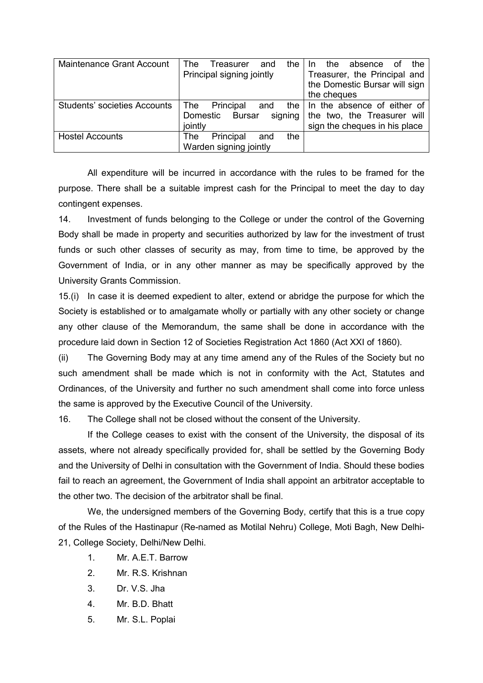| <b>Maintenance Grant Account</b>    | The<br>the<br>Treasurer<br>and        | the<br>the<br>absence<br>. of<br>In. |
|-------------------------------------|---------------------------------------|--------------------------------------|
|                                     | Principal signing jointly             | Treasurer, the Principal and         |
|                                     |                                       | the Domestic Bursar will sign        |
|                                     |                                       | the cheques                          |
| <b>Students' societies Accounts</b> | <b>The</b><br>Principal<br>the<br>and | In the absence of either of          |
|                                     | signing<br>Domestic<br><b>Bursar</b>  | the two, the Treasurer will          |
|                                     | jointly                               | sign the cheques in his place        |
| <b>Hostel Accounts</b>              | Principal<br>the<br>The<br>and        |                                      |
|                                     | Warden signing jointly                |                                      |

 All expenditure will be incurred in accordance with the rules to be framed for the purpose. There shall be a suitable imprest cash for the Principal to meet the day to day contingent expenses.

14. Investment of funds belonging to the College or under the control of the Governing Body shall be made in property and securities authorized by law for the investment of trust funds or such other classes of security as may, from time to time, be approved by the Government of India, or in any other manner as may be specifically approved by the University Grants Commission.

15.(i) In case it is deemed expedient to alter, extend or abridge the purpose for which the Society is established or to amalgamate wholly or partially with any other society or change any other clause of the Memorandum, the same shall be done in accordance with the procedure laid down in Section 12 of Societies Registration Act 1860 (Act XXI of 1860).

(ii) The Governing Body may at any time amend any of the Rules of the Society but no such amendment shall be made which is not in conformity with the Act, Statutes and Ordinances, of the University and further no such amendment shall come into force unless the same is approved by the Executive Council of the University.

16. The College shall not be closed without the consent of the University.

 If the College ceases to exist with the consent of the University, the disposal of its assets, where not already specifically provided for, shall be settled by the Governing Body and the University of Delhi in consultation with the Government of India. Should these bodies fail to reach an agreement, the Government of India shall appoint an arbitrator acceptable to the other two. The decision of the arbitrator shall be final.

 We, the undersigned members of the Governing Body, certify that this is a true copy of the Rules of the Hastinapur (Re-named as Motilal Nehru) College, Moti Bagh, New Delhi-21, College Society, Delhi/New Delhi.

- 1. Mr. A.E.T. Barrow
- 2. Mr. R.S. Krishnan
- 3. Dr. V.S. Jha
- 4. Mr. B.D. Bhatt
- 5. Mr. S.L. Poplai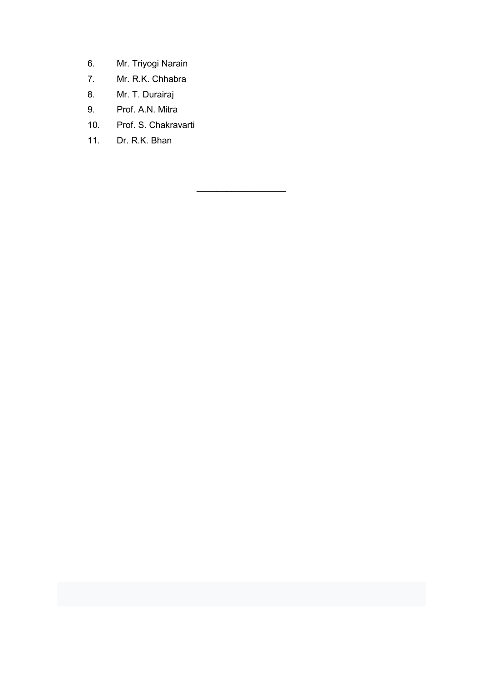- 6. Mr. Triyogi Narain
- 7. Mr. R.K. Chhabra
- 8. Mr. T. Durairaj
- 9. Prof. A.N. Mitra
- 10. Prof. S. Chakravarti

\_\_\_\_\_\_\_\_\_\_\_\_\_\_\_\_\_\_

11. Dr. R.K. Bhan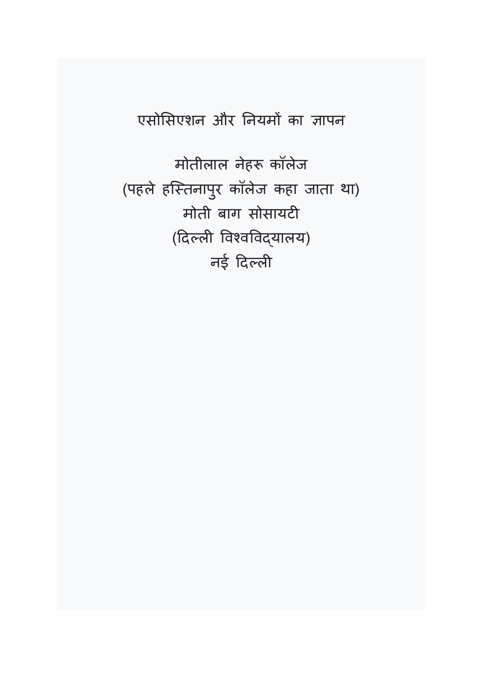### एसोसिएशन और नियमों का ज्ञापन

मोतीलाल नेहरू कॉलेज (पहले हितनापर कॉलेज कहा जाता था) ु मोती बाग सोसायटी (दिल्ली विश्वविद्यालय) नई दिल्ली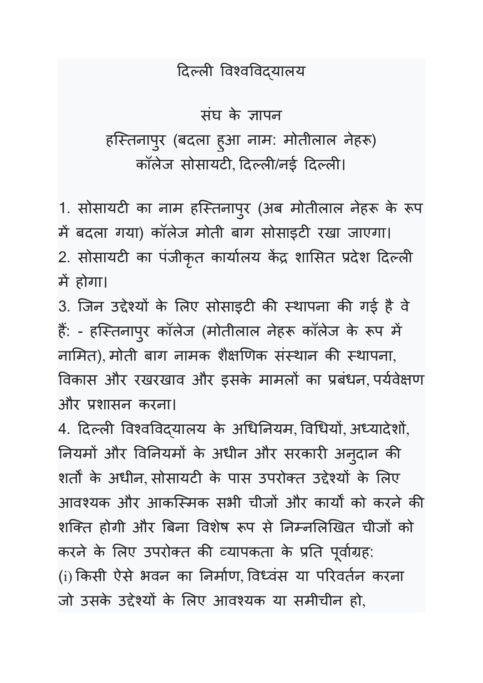### दिल्ली विश्वविद्यालय

# संघ के ज्ञापन हस्तिनापुर (बदला हुआ नाम: मोतीलाल नेहरू) कॉलेज सोसायटी, दिल्ली/नई दिल्ली।

1. सोसायटी का नाम हस्तिनापुर (अब मोतीलाल नेहरू के रूप में बदला गया) कॉलेज मोती बाग सोसाइटी रखा जाएगा। 2. सोसायटी का पंजीकृत कार्यालय केंद्र शासित प्रदेश दिल्ली में होगा।

3. जिन उद्देश्यों के लिए सोसाइटी की स्थापना की गई है वे हैं: - हस्तिनापुर कॉलेज (मोतीलाल नेहरू कॉलेज के रूप में नामित), मोती बाग नामक शैक्षणिक संस्थान की स्थापना, विकास और रखरखाव और इसके मामलों का प्रबंधन, पर्यवेक्षण और <शासन करना।

4. दिल्ली विश्वविद्यालय के अधिनियम, विधियों, अध्यादेशों, नियमों और विनियमों के अधीन और सरकारी अनुदान की शर्तों के अधीन, सोसायटी के पास उपरोक्त उद्देश्यों के लिए आवश्यक और आकस्मिक सभी चीजों और कार्यों को करने की शक्ति होगी और बिना विशेष रूप से निम्नलिखित चीजों को करने के लिए उपरोक्त की व्यापकता के प्रति पूर्वाग्रह: (i) किसी ऐसे भवन का निर्माण, विध्वंस या परिवर्तन करना जो उसके उद्देश्यों के लिए आवश्यक या समीचीन हो,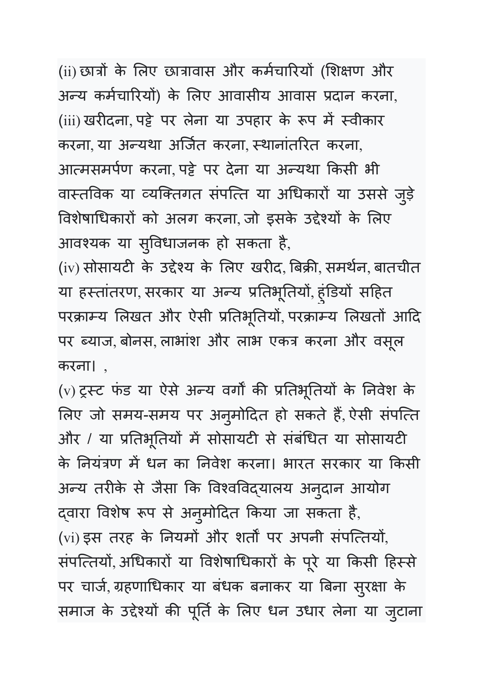(ii) छात्रों के लिए छात्रावास और कर्मचारियों (शिक्षण और अन्य कर्मचारियों) के लिए आवासीय आवास प्रदान करना, (iii) खरीदना, पट्टे पर लेना या उपहार के रूप में स्वीकार करना, या अन्यथा अर्जित करना, स्थानांतरित करना, आत्मसमर्पण करना, पट्टे पर देना या अन्यथा किसी भी वास्तविक या व्यक्तिगत संपत्ति या अधिकारों या उससे जुड़े विशेषाधिकारों को अलग करना, जो इसके उद्देश्यों के लिए आवश्यक या सुविधाजनक हो सकता है,

(iv) सोसायटी के उद्देश्य के लिए खरीद, बिक्री, समर्थन, बातचीत या हस्तांतरण, सरकार या अन्य प्रतिभूतियो, हुंडियो सहित परक्राम्य लिखत और ऐसी प्रतिभूतियो, परक्राम्य लिखतो आदि पर ब्याज, बोनस, लाभाश और लाभ एकत्र करना और वसूल करना। ,

(v) ट्रस्ट फंड या ऐसे अन्य वर्गों की प्रतिभूतियों के निवेश के लिए जो समय-समय पर अनुमोदित हो सकते है, ऐसी सर्पात्त और / या प्रतिभूतियों में सोसायटी से संबंधित या सोसायटी के नियंत्रण में धन का निवेश करना। भारत सरकार या किसी अन्य तरीके से जैसा कि विश्वविद्यालय अनुदान आयोग द्वारा विशेष रूप से अनुमोदित किया जा सकता है, (vi) इस तरह के नियमो और शर्तों पर अपनी सर्पात्तेयो, संपत्तियों, अधिकारों या विशेषाधिकारों के पूरे या किसी हिस्से पर चार्ज, ग्रहणाधिकार या बंधक बनाकर या बिना सुरक्षा के समाज के उद्देश्यों की पूर्ति के लिए धन उधार लेना या जुटाना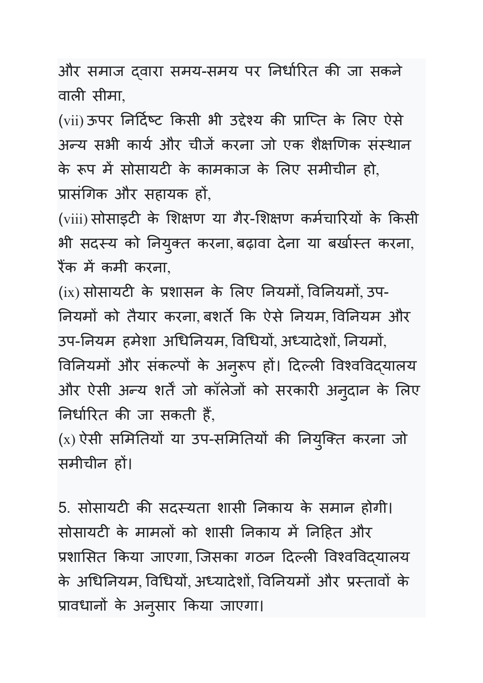और समाज दवारा समय-समय पर निर्धारित की जा सकने वाली सीमा,

(vii) ऊपर निर्दिष्ट किसी भी उद्देश्य की प्राप्ति के लिए ऐसे अन्य सभी कार्य और चीजें करना जो एक शैक्षणिक संस्थान के रूप में सोसायटी के कामकाज के लिए समीचीन हो, प्रासंगिक और सहायक हों,

(viii) सोसाइटी के शिक्षण या गैर-शिक्षण कर्मचारियों के किसी भी सदस्य को नियुक्त करना, बढ़ावा देना या बखोस्त करना, रैंक में कमी करना,

(ix) सोसायटी के प्रशासन के लिए नियमों, विनियमों, उप-नियमों को तैयार करना, बशर्ते कि ऐसे नियम, विनियम और उप-नियम हमेशा अधिनियम, विधियों, अध्यादेशों, नियमों, विनियमों और संकल्पों के अनुरूप हों। दिल्ली विश्वविद्यालय और ऐसी अन्य शर्तें जो कॉलेजों को सरकारी अनुदान के लिए निर्धारित की जा सकती है,

(x) ऐसी समितियो या उप-समितियो की नियुक्ति करना जो समीचीन ह
।

5. सोसायटी की सदस्यता शासी निकाय के समान होगी। सोसायटी के मामलो को शासी निकाय में निहित और प्रशासित किया जाएगा, जिसका गठन दिल्ली विश्वविद्यालय के अधिनियम, विधियों, अध्यादेशों, विनियमों और प्रस्तावों के प्रावधानों के अनुसार किया जाएगा।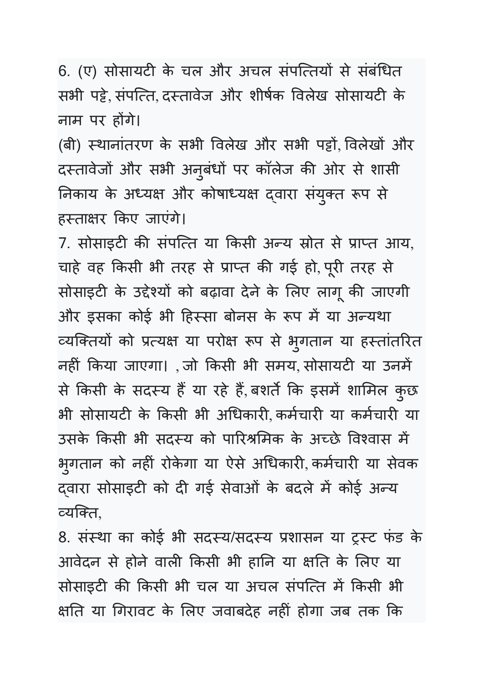6. (ए) सोसायटी के चल और अचल संपत्तियों से संबंधित सभी पट्टे संपत्ति दस्तावेज और शीर्षक विलेख सोसायटी के नाम पर ह
गे।

(बी) स्थानांतरण के सभी विलेख और सभी पट्टों, विलेखों और दस्तावेजों और सभी अनुबंधों पर कॉलेज की ओर से शासी निकाय के अध्यक्ष और कोषाध्यक्ष द्वारा संयुक्त रूप से हस्ताक्षर किए जाएंगे।

7. सोसाइटी की संपत्ति या किसी अन्य स्रोत से प्राप्त आय, चाहे वह किसी भी तरह से प्राप्त की गई हो, पूरी तरह से सोसाइटी के उद्देश्यों को बढ़ावा देने के लिए लागू की जाएगी और इसका कोई भी हिस्सा बोनस के रूप में या अन्यथा व्यक्तियों को प्रत्यक्ष या परोक्ष रूप से भुगतान या हस्तांतरित नहीं किया जाएगा। , जो किसी भी समय, सोसायटी या उनमें से किसी के सदस्य है या रहे है, बशर्ते कि इसमें शामिल कुछ भी सोसायटी के किसी भी अधिकारी कर्मचारी या कर्मचारी या उसके किसी भी सदस्य को पारिश्रमिक के अच्छे विश्वास में भुगतान को नहीं रोकेगा या ऐसे अधिकारी, कमेचारी या सेवक दवारा सोसाइटी को दी गई सेवाओं के बदले में कोई अन्य व्यक्ति.

8. संस्था का कोई भी सदस्य/सदस्य प्रशासन या ट्रस्ट फंड के आवेदन से होने वाली किसी भी हानि या क्षति के लिए या सोसाइटी की किसी भी चल या अचल संपत्ति में किसी भी क्षति या गिरावट के लिए जवाबदेह नहीं होगा जब तक कि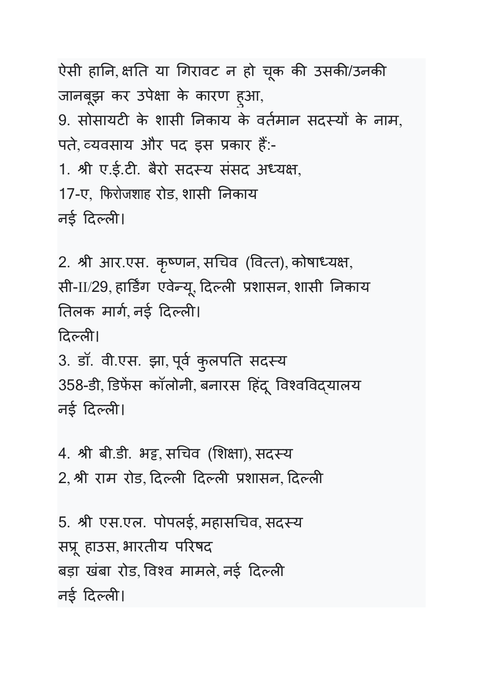ऐसी हानि, क्षति या गिरावट न हो चूक की उसकी/उनकी जानबूझ कर उपेक्षा के कारण हुआ, 9. सोसायटी के शासी निकाय के वर्तमान सदस्यों के नाम, पते, व्यवसाय और पद इस प्रकार है:-1. श्री ए.ई.टी. बैरो सदस्य संसद अध्यक्ष, 17-ए, फिरोजशाह रोड, शासी निकाय नई दिल्ली।

2. श्री आर.एस. कृष्णन, सचिव (वित्त), कोषाध्यक्ष, सी-II/29, हार्डिंग एवेन्यू, दिल्ली प्रशासन, शासी निकाय तिलक मार्ग, नई दिल्ली। दिल्ली। 3. डॉ. वी.एस. झा, पूर्व कुलपति सदस्य 358-डी, डिफेंस कॉलोनी, बनारस हिंदू विश्वविद्यालय नई दिल्ली।

4. श्री बी.डी. भद्द, सचिव (शिक्षा), सदस्य 2, श्री राम रोड, दिल्ली दिल्ली प्रशासन, दिल्ली

5. श्री एस.एल. पोपलई, महासचिव, सदस्य सप्रू हाउस, भारतीय परिषद बड़ा खंबा रोड, विश्व मामले, नई दिल्ली नई दिल्ली।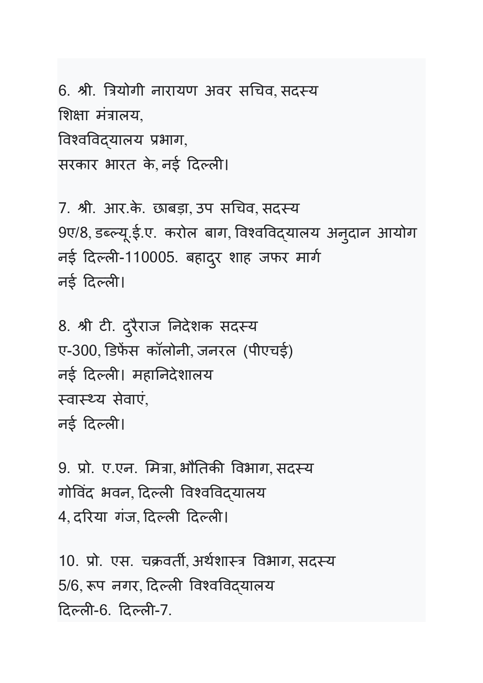6. श्री. त्रियोगी नारायण अवर सचिव, सदस्य शिक्षा मंत्रालय, विश्वविदयालय प्रभाग, सरकार भारत के, नई दिल्ली।

7. श्री. आर.के. छाबड़ा, उप सचिव, सदस्य 9ए/8, डब्ल्यू.ई.ए. करोल बाग, विश्वविद्यालय अनुदान आयोग नई दिल्ली-110005. बहादुर शाह जफर मार्ग नई दिल्ली।

8. श्री टी. दुरैराज निर्देशक सदस्य ए-300, डिफेंस कॉलोनी, जनरल (पीएचई) नई दिल्ली। महानिदेशालय स्वास्थ्य सेवाएं, नई दिल्ली।

9. प्रो. ए.एन. मित्रा, भौतिकी विभाग, सदस्य गोविंद भवन, दिल्ली विश्वविदयालय 4, दरिया गंज, दिल्ली दिल्ली।

10. प्रो. एस. चक्रवर्ती, अर्थशास्त्र विभाग, सदस्य 5/6, रूप नगर, दिल्ली विश्वविद्यालय दिल्ली-6. दिल्ली-7.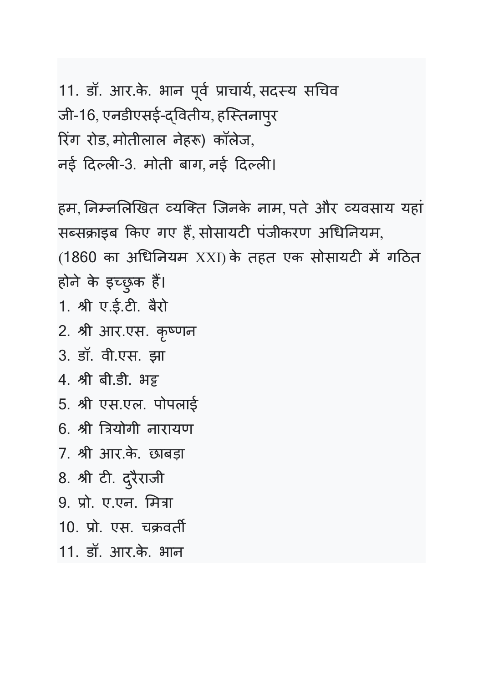11. डॉ. आर.के. भान पूर्व प्राचार्य, सदस्य सचिव जी-16, एनडीएसई-द्वितीय, हस्तिनापुर रिंग रोड, मोतीलाल नेहरू) कॉलेज, नई दिल्ली-3. मोती बाग, नई दिल्ली।

हम, निम्नलिखित व्यक्ति जिनके नाम, पते और व्यवसाय यहां सब्सक्राइब किए गए है, सोसायटी पजीकरण अधिनियम, (1860 का अधिनियम XXI)के तहत एक सोसायटी में गठित होने के इच्छुक हैं।

- 1. श्री ए.ई.टी. बैरो
- 2. श्री आर.एस. कृष्णन
- 3. डॉ. वी.एस. झा
- 4. श्री बी.डी. भड़
- 5. pी एस.एल. पोपलाई
- 6. श्री त्रियोगी नारायण
- 7. pी आर.के . छाबड़ा
- 8. श्री टी. दुरैराजी
- 9. प्रो. ए.एन. मित्रा
- 10. प्रो. एस. चक्रवर्ती
- 11. डॉ. आर.के . भान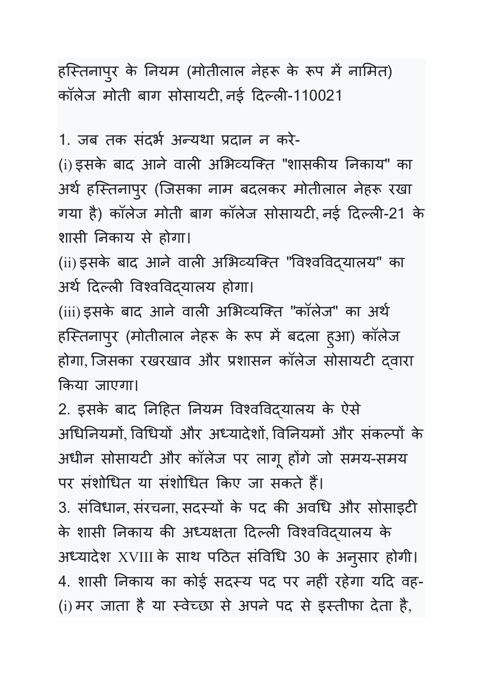हस्तिनापुर के नियम (मोतीलाल नेहरू के रूप में नामित) | कॉलेज मोती बाग सोसायटी नई दिल्ली-110021

1. जब तक संदर्भ अन्यथा प्रदान न करे-

(i) इसके बाद आने वाली अभिव्यक्ति "शासकीय निकाय" का अर्थ हस्तिनापुर (जिसका नाम बदलकर मोतीलाल नेहरू रखा गया है) कॉलेज मोती बाग कॉलेज सोसायटी, नई दिल्ली-21 के शासी नकाय से होगा।

(ii) इसके बाद आने वाली अभिव्यक्ति "विश्वविदयालय" का अर्थ दिल्ली विश्वविदयालय होगा।

(iii) इसके बाद आने वाली अभिव्यक्ति "कॉलेज" का अर्थ हर्रितनापुर (मोतीलाल नेहरू के रूप में बदला हुआ) कॉलेज होगा, जिसका रखरखाव और प्रशासन कॉलेज सोसायटी दवारा Uकया जाएगा।

2. इसके बाद निहित नियम विश्वविद्यालय के ऐसे अधिनियमों, विधियों और अध्यादेशों, विनियमों और संकल्पों के अधीन सोसायटी और कॉलेज पर लागू होंगे जो समय-समय पर संशोधित या संशोधित किए जा सकते हैं। 3. संविधान, संरचना, सदस्यों के पद की अवधि और सोसाइटी के शासी निकाय की अध्यक्षता दिल्ली विश्वविद्यालय के अध्यादेश XVIII के साथ पठित संविधि 30 के अनुसार होगी। 4. शासी निकाय का कोई सदस्य पद पर नहीं रहेगा यदि वह-(i) मर जाता है या स्वेच्छा से अपने पद से इस्तीफा देता है,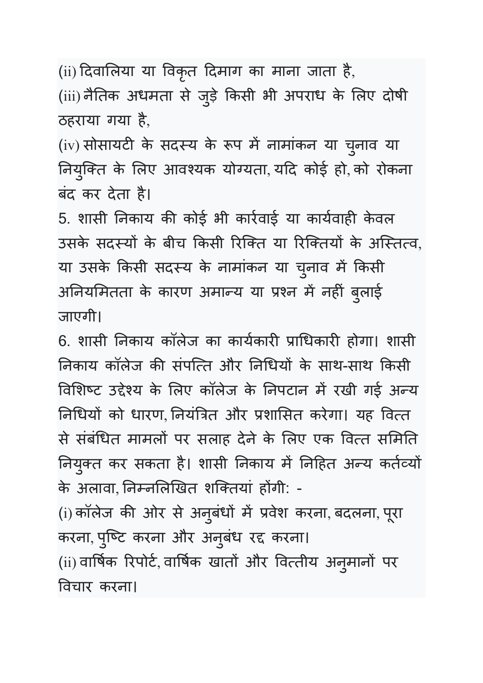(ii) दिवालिया या विकृत दिमाग का माना जाता है,

(iii) नैतिक अधमता से जुड़े किसी भी अपराध के लिए दोषी ठहराया गया है,

(iv) सोसायटी के सदस्य के रूप में नामांकन या चुनाव या नियुक्ति के लिए आवश्यक योग्यता, यदि कोई हो, को रोकना बंद कर देता है।

5. शासी निकाय की कोई भी कार्रवाई या कार्यवाही केवल उसके सदस्यों के बीच किसी रिक्ति या रिक्तियों के अस्तित्व, या उसके किसी सदस्य के नामांकन या चुनाव में किसी अनिर्यामेतता के कारण अमान्य या प्रश्न में नहीं बुलाई जाएगी।

6. शासी निकाय कॉलेज का कार्यकारी प्राधिकारी होगा। शासी निकाय कॉलेज की सर्पात्त और निधियों के साथ-साथ किसी विशिष्ट उद्देश्य के लिए कॉलेज के निपटान में रखी गई अन्य निधियों को धारण, नियंत्रित और प्रशासित करेगा। यह वित्त से संबंधित मामलों पर सलाह देने के लिए एक वित्त समिति नियुक्त कर सकता है। शासी निकाय में निहित अन्य कर्तव्यों | के अलावा, निम्नलिखित शक्तिया होगी: -

(i) कॉलेज की ओर से अनुबंधों में प्रवेश करना, बदलना, पूरा करना, पुष्टि करना और अनुबंध रद्द करना। (ii) वार्षिक रिपोर्ट, वार्षिक खातों और वित्तीय अनुमानों पर 'वचार करना।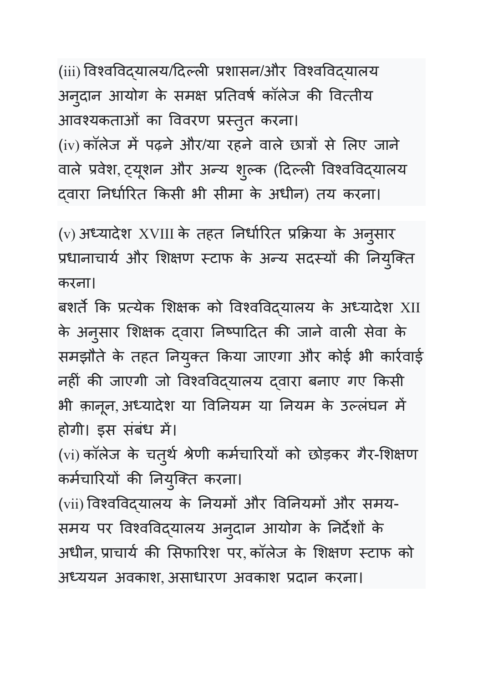(iii) विश्वविद्यालय/दिल्ली प्रशासन/और विश्वविद्यालय अनुदान आयोग के समक्ष प्रतिवर्ष कॉलेज की वित्तीय आवश्यकताओं का विवरण प्रस्तुत करना। (iv) कॉलेज में पढ़ने और/या रहने वाले छात्रों से लिए जाने वाले प्रवेश, ट्यूशन और अन्य शुल्क (दिल्ली विश्वविद्यालय द्वारा निर्धारित किसी भी सीमा के अधीन) तय करना।

(v) अध्यादेश XVIII के तहत निर्धारित प्रक्रिया के अनुसार प्रधानाचार्य और शिक्षण स्टाफ के अन्य सदस्यों की नियुक्ति करना।

बशर्ते कि प्रत्येक शिक्षक को विश्वविद्यालय के अध्यादेश XII के अनुसार शिक्षक द्वारा निष्पादित की जाने वाली सेवा के समझौते के तहत नियुक्त किया जाएगा और कोई भी कार्रवाई नहीं की जाएगी जो विश्वविद्यालय द्वारा बनाए गए किसी भी क़ानून,अध्यादेश या विनियम या नियम के उल्लंघन में होगी। इस संबंध में।

(vi) कॉलेज के चतुर्थ श्रेणी कर्मचारियों को छोड़कर गैर-शिक्षण कर्मचारियों की नियुक्ति करना।

(vii) विश्वविद्यालय के नियमों और विनियमों और समय-समय पर विश्वविद्यालय अनुदान आयोग के निर्देशों के अधीन, प्राचार्य की सिफारिश पर, कॉलेज के शिक्षण स्टाफ को अध्ययन अवकाश, असाधारण अवकाश प्रदान करना।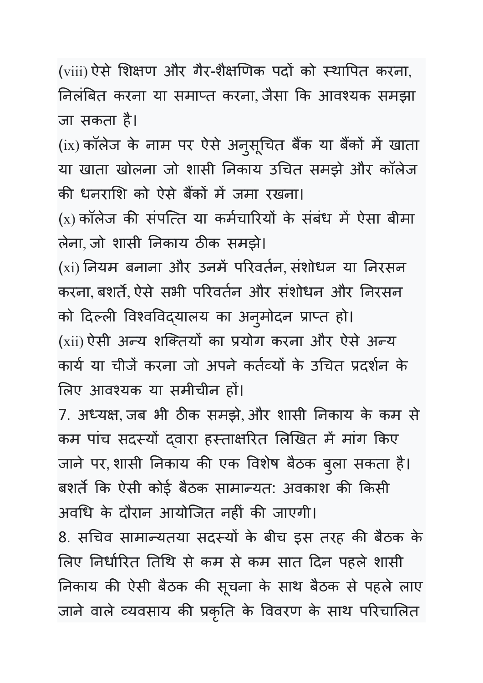(viii) ऐसे शिक्षण और गैर-शैक्षणिक पदों को स्थापित करना, निर्लाबेत करना या समाप्त करना, जैसा कि आवश्यक समझा जा सकता है।

(ix) कॉलेज के नाम पर ऐसे अनुसूचित बैंक या बैंकों में खाता या खाता खोलना जो शासी नकाय उIचत समझे और कॉलेज की धनराशि को ऐसे बैंकों में जमा रखना।

 $(x)$  कॉलेज की संपत्ति या कर्मचारियों के संबंध में ऐसा बीमा लेना, जो शासी निकाय ठीक समझे।

(xi) नियम बनाना और उनमे परिवर्तन, संशोधन या निरसन करना, बशर्ते, ऐसे सभी परिवर्तन और सशोधन और निरसन को दिल्ली विश्वविद्यालय का अनुमोदन प्राप्त हो। (xii) ऐसी अन्य शक्तियों का प्रयोग करना और ऐसे अन्य कार्य या चीजें करना जो अपने कर्तव्यों के उचित प्रदर्शन के लिए आवश्यक या समीचीन हों।

7. अध्यक्ष, जब भी ठीक समझे, और शासी निकाय के कम से कम पांच सदस्यों दवारा हस्ताक्षरित लिखित में मांग किए जाने पर,शासी निकाय की एक विशेष बैठक बुला सकता है। बशर्ते कि ऐसी कोई बैठक सामान्यत: अवकाश की किसी अवधि के दौरान आयोजित नहीं की जाएगी।

8. सचिव सामान्यतया सदस्यों के बीच इस तरह की बैठक के लिए निर्धारित तिथि से कम से कम सात दिन पहले शासी निकाय की ऐसी बैठक की सूचना के साथ बैठक से पहले लाए जाने वाले व्यवसाय की प्रकृति के विवरण के साथ परिचालित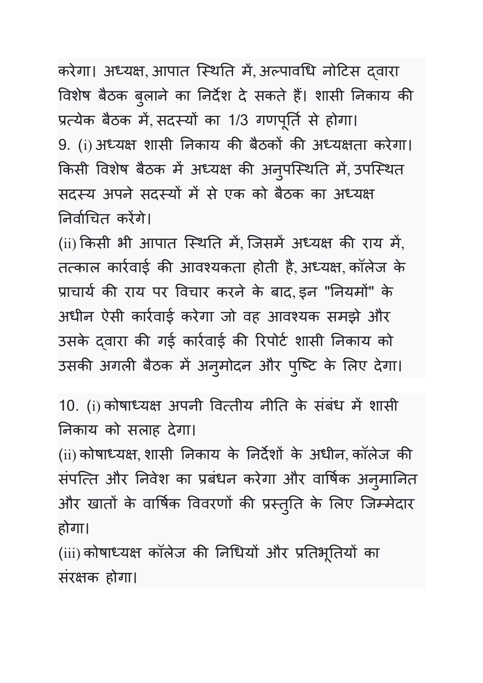करेगा। अध्यक्ष, आपात स्थिति मे, अल्पावधि नोटिस द्वारा विशेष बैठक बुलाने का निर्देश दे सकते हैं। शासी निकाय की प्रत्येक बैठक में, सदस्यों का 1/3 गणपूर्ति से होगा। 9. (i) अध्यक्ष शासी निकाय की बैठको की अध्यक्षता करेगा। किसी विशेष बैठक में अध्यक्ष की अनुपस्थिति में, उपस्थित सदस्य अपने सदस्यों में से एक को बैठक का अध्यक्ष निर्वाचित करेंगे।

(ii) किसी भी आपात स्थिति में, जिसमें अध्यक्ष की राय में, तत्काल कार्रवाई की आवश्यकता होती है, अध्यक्ष, कॉलेज के प्राचार्य की राय पर विचार करने के बाद, इन "नियमों" के अधीन ऐसी कार्रवाई करेगा जो वह आवश्यक समझे और उसके द्वारा की गई कार्रवाई की रिपोर्ट शासी निकाय को उसकी अगली बैठक में अनुमोदन और पुष्टि के लिए देगा।

10. (i) कोषाध्यक्ष अपनी वित्तीय नीति के संबंध में शासी नकाय को सलाह देगा।

(ii) कोषाध्यक्ष, शासी निकाय के निर्देशों के अधीन, कॉलेज की संपत्ति और निवेश का प्रबंधन करेगा और वार्षिक अनुमानित और खातों के वार्षिक विवरणों की प्रस्तुति के लिए जिम्मेदार होगा।

(iii) कोषाध्यक्ष कॉलेज की निधियो और प्रतिभूतियो का संरक्षक होगा।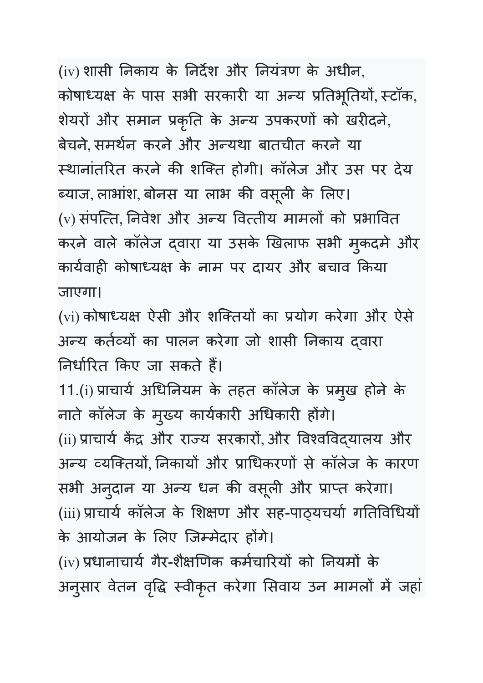(iv) शासी निकाय के निर्देश और नियंत्रण के अधीन, कोषाध्यक्ष के पास सभी सरकारी या अन्य प्रतिभूतियो, स्टॉक, शेयरो और समान प्रकृति के अन्य उपकरणों को खरीदने, बेचने, समर्थन करने और अन्यथा बातचीत करने या स्थानांतरित करने की शक्ति होगी। कॉलेज और उस पर देय ब्याज, लाभांश, बोनस या लाभ की वसूली के लिए। (v) संपत्ति, निवेश और अन्य वित्तीय मामलों को प्रभावित करने वाले कॉलेज दवारा या उसके खिलाफ सभी मुकदमे और कार्यवाही कोषाध्यक्ष के नाम पर दायर और बचाव किया जाएगा।

(vi) कोषाध्यक्ष ऐसी और शक्तियों का प्रयोग करेगा और ऐसे अन्य कर्तव्यों का पालन करेगा जो शासी निकाय द्वारा निर्धारित किए जा सकते हैं।

11.(i) प्राचाये अधिनियम के तहत कॉलेज के प्रमुख होने के नाते कॉलेज के मुख्य कार्यकारी अधिकारी होंगे। (ii) प्राचार्य केंद्र और राज्य सरकारों, और विश्वविद्**यालय और** अन्य व्यक्तियो, निकार्या और प्राधिकरणों से कॉलेज के कारण सभी अनुदान या अन्य धन की वसूली और प्राप्त करेगा। (iii) प्राचार्य कॉलेज के शिक्षण और सह-पाठ्यचर्या गतिविधियों के आयोजन के लिए जिम्मेदार होंगे।

(iv) प्रधानाचार्य गैर-शैक्षणिक कर्मचारियों को नियमों के अनुसार वेतन वृद्धि स्वीकृत करेगा सिवाय उन मामलों में जहां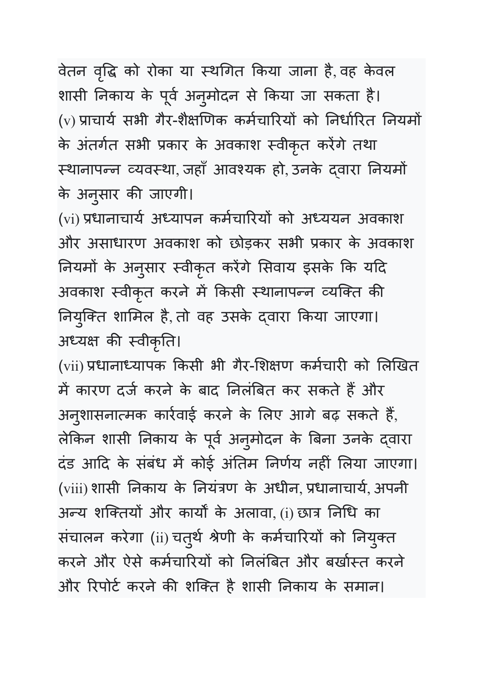वेतन वृद्धि को रोका या स्थगित किया जाना है, वह केवल शासी निकाय के पूर्व अनुमोदन से किया जा सकता है। (v) प्राचार्य सभी गैर-शैक्षणिक कर्मचारियों को निर्धारित नियमों के अंतर्गत सभी प्रकार के अवकाश स्वीकृत करेंगे तथा स्थानापन्न व्यवस्था, जहाँ आवश्यक हो, उनके द्वारा नियमो के अनुसार की जाएगी।

(vi) प्रधानाचार्य अध्यापन कर्मचारियों को अध्ययन अवकाश और असाधारण अवकाश को छोड़कर सभी प्रकार के अवकाश नियमों के अनुसार स्वीकृत करेंगे सिवाय इसके कि यदि अवकाश स्वीकृत करने में किसी स्थानापन्न व्यक्ति की नियुक्ति शामिल है, तो वह उसके द्वारा किया जाएगा। अध्यक्ष की स्वीकृति।

(vii) प्रधानाध्यापक किसी भी गैर-शिक्षण कर्मचारी को लिखित में कारण दर्ज करने के बाद निर्लाबेत कर सकते हैं और अनुशासनात्मक कार्रवाई करने के लिए आगे बढ़ सकते हैं, लेकिन शासी निकाय के पूर्व अनुमोदन के बिना उनके द्वारा दंड आदि के संबंध में कोई अंतिम निर्णय नहीं लिया जाएगा। (viii) शासी निकाय के नियंत्रण के अधीन, प्रधानाचार्य, अपनी अन्य शक्तियों और कार्यों के अलावा, (i) छात्र निधि का संचालन करेगा (ii) चतुर्थ श्रेणी के कर्मचारियों को नियुक्त करने और ऐसे कर्मचारियों को निर्लाबेत और बर्खास्त करने और रिपोर्ट करने की शक्ति है शासी निकाय के समान।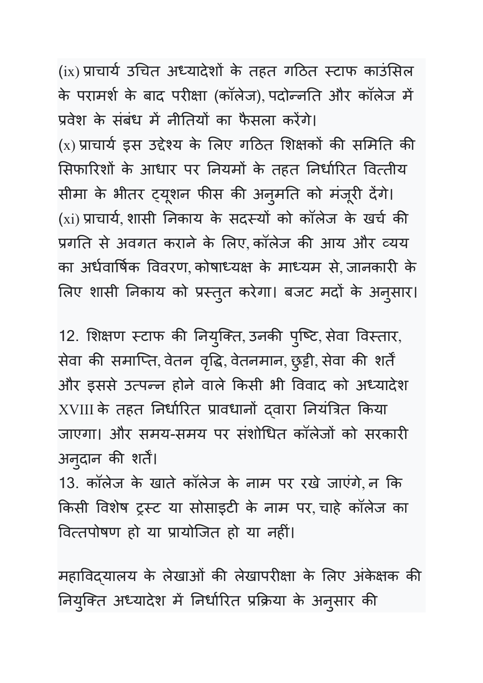(ix) प्राचार्य उचित अध्यादेशों के तहत गठित स्टाफ काउंसिल के परामर्श के बाद परीक्षा (कॉलेज), पर्दान्नति और कॉलेज में प्रवेश के संबंध में नीतियों का फैसला करेंगे। (x) प्राचार्य इस उद्देश्य के लिए गठित शिक्षको की समिति की सिफारिशों के आधार पर नियमों के तहत निर्धारित वित्तीय सीमा के भीतर ट्यूशन फीस की अनुमति को मजूरी देंगे। (xi) प्राचार्य, शासी निकाय के सदस्यों को कॉलेज के खर्च की प्रगति से अवगत कराने के लिए, कॉलेज की आय और व्यय का अर्धवार्षिक विवरण, कोषाध्यक्ष के माध्यम से जानकारी के लिए शासी निकाय को प्रस्तुत करेगा। बजट मदो के अनुसार।

12. शिक्षण स्टाफ की नियुक्ति, उनकी पुष्टि, सेवा विस्तार, सेवा की समाप्ति, वेतन वृद्धि, वेतनमान, छुट्टी, सेवा की शर्तें और इससे उत्पन्न होने वाले किसी भी विवाद को अध्यादेश XVIII के तहत निर्धारित प्रावधानो द्वारा निर्यात्रेत किया जाएगा। और समय-समय पर संशोधित कॉलेजों को सरकारी अनुदान की शर्ते।

13. कॉलेज के खाते कॉलेज के नाम पर रखे जाएंगे, न Uक किसी विशेष ट्रस्ट या सोसाइटी के नाम पर चाहे कॉलेज का वित्तपोषण हो या प्रायोजित हो या नहीं।

महाविद्यालय के लेखाओं की लेखापरीक्षा के लिए अंकेक्षक की नियुक्ति अध्यादेश में निर्धारित प्रक्रिया के अनुसार की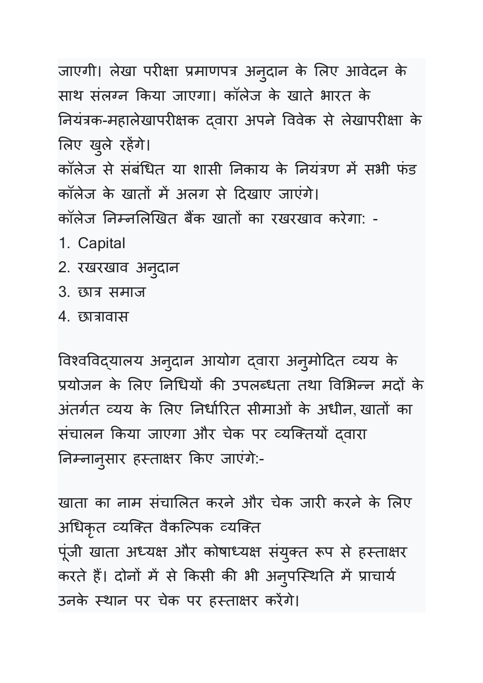जाएगी। लेखा परीक्षा प्रमाणपत्र अनुदान के लिए आवेदन के साथ संलग्न किया जाएगा। कॉलेज के खाते भारत के नियंत्रक-महालेखापरीक्षक द्वारा अपने विवेक से लेखापरीक्षा के लिए खुले रहेगे। कॉलेज से सर्बांधेत या शासी निकाय के नियंत्रण में सभी फंड कॉलेज के खातों में अलग से दिखाए जाएंगे। कॉलेज निम्नलिखित बैंक खातों का रखरखाव करेगा: -1. Capital

- 2. रखरखाव अनुदान
- 3. छात्र समाज
- 4. छात्रावास

विश्वविद्यालय अनुदान आयोग दवारा अनुमोदित व्यय के प्रयोजन के लिए निधियों की उपलब्धता तथा विभिन्न मदों के अतर्गत व्यय के लिए निर्धारित सीमाओं के अधीन, खातों का संचालन किया जाएगा और चेक पर व्यक्तियों द्वारा निम्नानुसार हस्ताक्षर किए जाएंगे:-

खाता का नाम संचालित करने और चेक जारी करने के लिए अधिकृत व्यक्ति वैकल्पिक व्यक्ति पूंजी खाता अध्यक्ष और कोषाध्यक्ष संयुक्त रूप से हस्ताक्षर करते हैं। दोनों में से किसी की भी अनुपस्थिति में प्राचार्य | उनके स्थान पर चेक पर हस्ताक्षर करेंगे।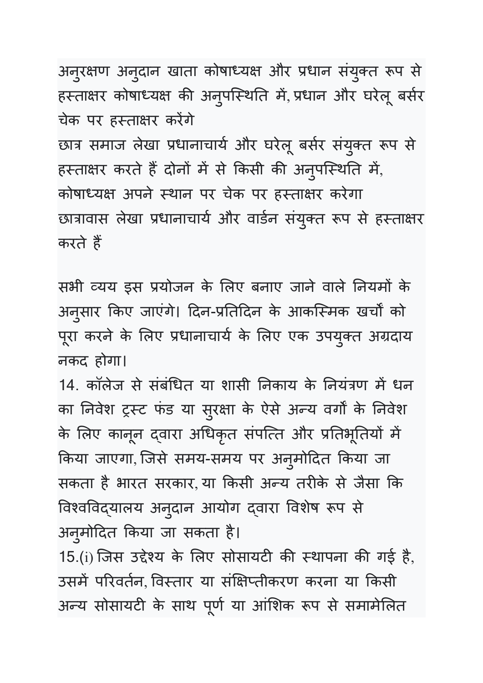अनुरक्षण अनुदान खाता कोषाध्यक्ष और प्रधान संयुक्त रूप से हस्ताक्षर कोषाध्यक्ष की अनुपस्थिति में, प्रधान और घरेलू बसेर चेक पर हस्ताक्षर करेंगे छात्र समाज लेखा प्रधानाचार्य और घरेलू बर्सर संयुक्त रूप से हस्ताक्षर करते है दोनों में से किसी की अनुपस्थिति में, कोषाध्यक्ष अपने स्थान पर चेक पर हस्ताक्षर करेगा छात्रावास लेखा प्रधानाचार्य और वार्डन संयुक्त रूप से हस्ताक्षर करते हैं

सभी व्यय इस प्रयोजन के लिए बनाए जाने वाले नियमों के अनुसार किए जाएंगे। दिन-प्रतिदिन के आकस्मिक खर्चों को पूरा करने के लिए प्रधानाचाये के लिए एक उपयुक्त अग्रदाय नकद होगा।

14. कॉलेज से सर्बांधेत या शासी निकाय के नियंत्रण में धन का निवेश ट्रस्ट फंड या सुरक्षा के ऐसे अन्य वर्गों के निवेश के लिए कानून दवारा अधिकृत संपत्ति और प्रतिभूतियों में किया जाएगा, जिसे समय-समय पर अनुमोदित किया जा सकता है भारत सरकार, या किसी अन्य तरीके से जैसा कि विश्वविद्यालय अनुदान आयोग दवारा विशेष रूप से अनुमोदित किया जा सकता है।

15.(i) जिस उद्देश्य के लिए सोसायटी की स्थापना की गई है, उसमें परिवर्तन, विस्तार या संक्षिप्तीकरण करना या किसी अन्य सोसायटी के साथ पूर्ण या आंशिक रूप से समामेलित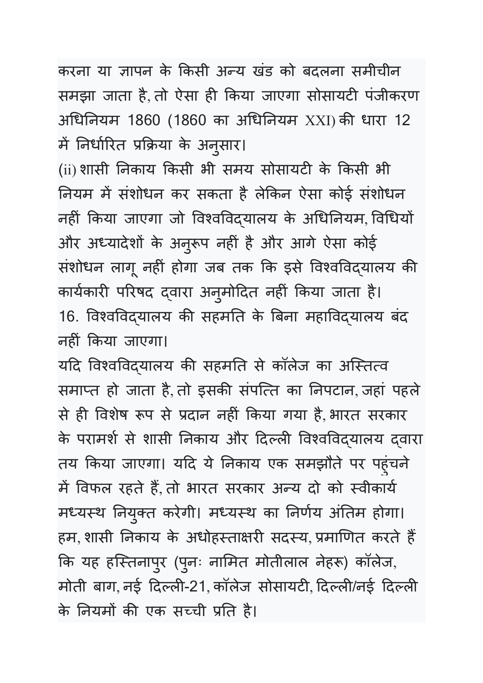करना या ज्ञापन के किसी अन्य खंड को बदलना समीचीन समझा जाता है, तो ऐसा ही किया जाएगा सोसायटी पंजीकरण अधिनियम 1860 (1860 का अधिनियम XXI)की धारा 12 में निर्धारित प्रक्रिया के अनुसार।

(ii) शासी निकाय किसी भी समय सोसायटी के किसी भी नियम में संशोधन कर संकता है लेकिन ऐसा कोई संशोधन नहीं किया जाएगा जो विश्वविद्यालय के अधिनियम, विधियों और अध्यादेशों के अनुरूप नहीं है और आगे ऐसा कोई संशोधन लागू नहीं होगा जब तक कि इसे विश्वविद्यालय की कार्यकारी परिषद दवारा अनुमोदित नहीं किया जाता है। 16. विश्वविद्यालय की सहमति के बिना महाविद्यालय बंद नहीं किया जाएगा।

यदि विश्वविद्यालय की सहमति से कॉलेज का अस्तित्व समाप्त हो जाता है, तो इसकी सर्पात्त का निपटान, जहां पहले से ही विशेष रूप से प्रदान नहीं किया गया है, भारत सरकार के परामर्श से शासी निकाय और दिल्ली विश्वविद्यालय द्वारा तय किया जाएगा। यदि ये निकाय एक समझौते पर पहुंचने में विफल रहते हैं, तो भारत सरकार अन्य दो को स्वीकार्य मध्यस्थ नियुक्त करेगी। मध्यस्थ का निर्णय अतिम होगा। हम, शासी निकाय के अधोहस्ताक्षरी सदस्य, प्रमाणित करते हैं | कि यह हस्तिनापुर (पुनः नामित मोतीलाल नेहरू) कॉलेज, मोती बाग, नई दिल्ली-21, कॉलेज सोसायटी, दिल्ली/नई दिल्ली के नियमों की एक सच्ची प्रति है।